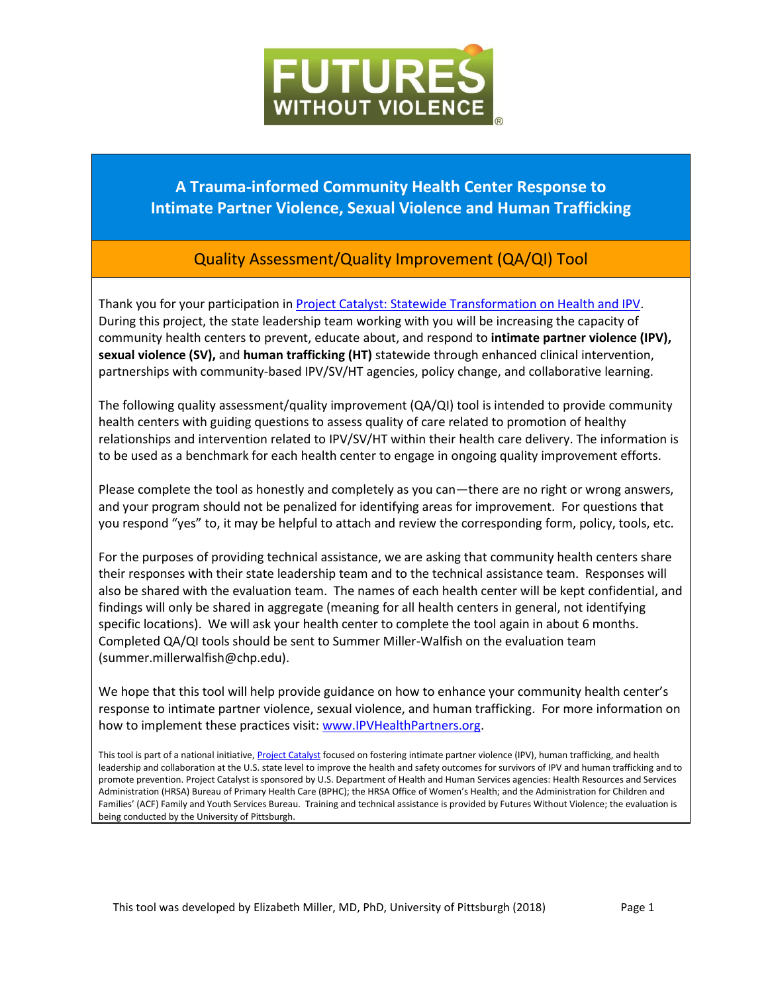

## **A Trauma-informed Community Health Center Response to Intimate Partner Violence, Sexual Violence and Human Trafficking**

# Quality Assessment/Quality Improvement (QA/QI) Tool

Thank you for your participation in [Project Catalyst: Statewide Transformation on Health and IPV.](https://www.futureswithoutviolence.org/health/improving-health-outcomes-through-violence-prevention/) During this project, the state leadership team working with you will be increasing the capacity of community health centers to prevent, educate about, and respond to **intimate partner violence (IPV), sexual violence (SV),** and **human trafficking (HT)** statewide through enhanced clinical intervention, partnerships with community-based IPV/SV/HT agencies, policy change, and collaborative learning.

The following quality assessment/quality improvement (QA/QI) tool is intended to provide community health centers with guiding questions to assess quality of care related to promotion of healthy relationships and intervention related to IPV/SV/HT within their health care delivery. The information is to be used as a benchmark for each health center to engage in ongoing quality improvement efforts.

Please complete the tool as honestly and completely as you can—there are no right or wrong answers, and your program should not be penalized for identifying areas for improvement. For questions that you respond "yes" to, it may be helpful to attach and review the corresponding form, policy, tools, etc.

For the purposes of providing technical assistance, we are asking that community health centers share their responses with their state leadership team and to the technical assistance team. Responses will also be shared with the evaluation team. The names of each health center will be kept confidential, and findings will only be shared in aggregate (meaning for all health centers in general, not identifying specific locations). We will ask your health center to complete the tool again in about 6 months. Completed QA/QI tools should be sent to Summer Miller-Walfish on the evaluation team (summer.millerwalfish@chp.edu).

We hope that this tool will help provide guidance on how to enhance your community health center's response to intimate partner violence, sexual violence, and human trafficking. For more information on how to implement these practices visit: [www.IPVHealthPartners.org.](http://www.ipvhealthpartners.org/)

This tool is part of a national initiative[, Project Catalyst](https://www.futureswithoutviolence.org/health/improving-health-outcomes-through-violence-prevention/) focused on fostering intimate partner violence (IPV), human trafficking, and health leadership and collaboration at the U.S. state level to improve the health and safety outcomes for survivors of IPV and human trafficking and to promote prevention. Project Catalyst is sponsored by U.S. Department of Health and Human Services agencies: Health Resources and Services Administration (HRSA) Bureau of Primary Health Care (BPHC); the HRSA Office of Women's Health; and the Administration for Children and Families' (ACF) Family and Youth Services Bureau. Training and technical assistance is provided by Futures Without Violence; the evaluation is being conducted by the University of Pittsburgh.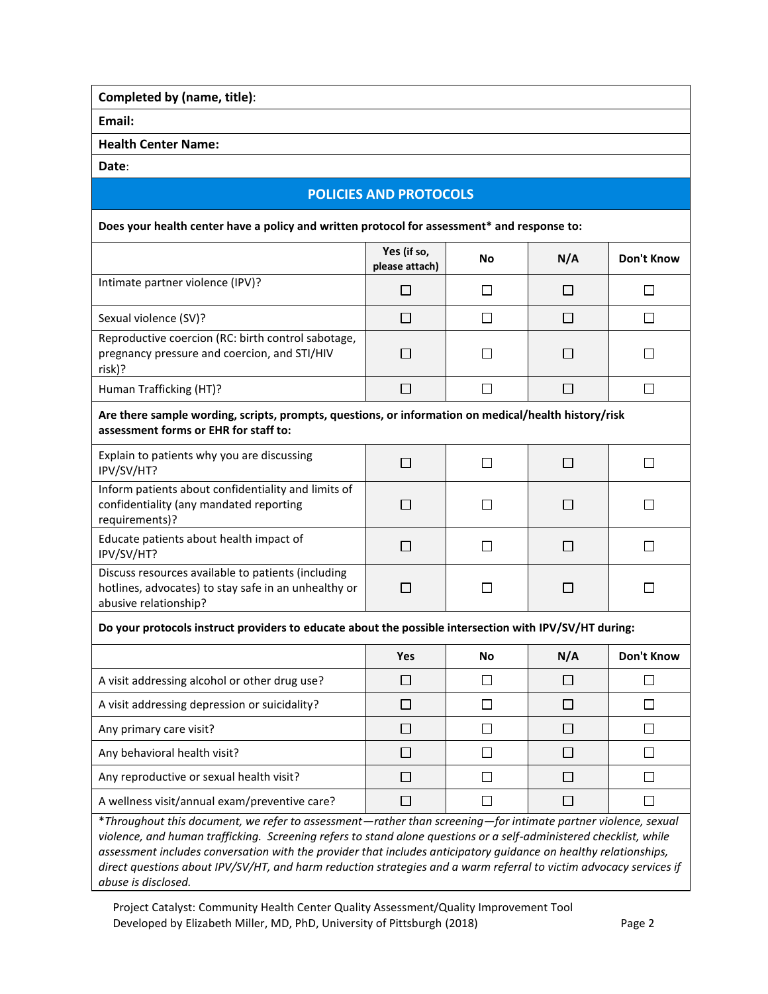**Completed by (name, title)**:

**Email:**

**Health Center Name:**

**Date**:

### **POLICIES AND PROTOCOLS**

**Does your health center have a policy and written protocol for assessment\* and response to:**

|                                                                                                              | Yes (if so,<br>please attach) | No | N/A | Don't Know |
|--------------------------------------------------------------------------------------------------------------|-------------------------------|----|-----|------------|
| Intimate partner violence (IPV)?                                                                             |                               |    |     |            |
| Sexual violence (SV)?                                                                                        |                               |    |     |            |
| Reproductive coercion (RC: birth control sabotage,<br>pregnancy pressure and coercion, and STI/HIV<br>risk)? |                               |    |     |            |
| Human Trafficking (HT)?                                                                                      |                               |    |     |            |
| Are there sample wording scripts prompts questions or information on medical/health history/risk             |                               |    |     |            |

#### **Are there sample wording, scripts, prompts, questions, or information on medical/health history/risk assessment forms or EHR for staff to:**

| Explain to patients why you are discussing<br>IPV/SV/HT?                                                                            |  |  |
|-------------------------------------------------------------------------------------------------------------------------------------|--|--|
| Inform patients about confidentiality and limits of<br>confidentiality (any mandated reporting<br>requirements)?                    |  |  |
| Educate patients about health impact of<br>IPV/SV/HT?                                                                               |  |  |
| Discuss resources available to patients (including<br>hotlines, advocates) to stay safe in an unhealthy or<br>abusive relationship? |  |  |

#### **Do your protocols instruct providers to educate about the possible intersection with IPV/SV/HT during:**

|                                               | <b>Yes</b> | No | N/A | Don't Know |
|-----------------------------------------------|------------|----|-----|------------|
| A visit addressing alcohol or other drug use? |            |    |     |            |
| A visit addressing depression or suicidality? |            |    |     |            |
| Any primary care visit?                       |            |    |     |            |
| Any behavioral health visit?                  |            |    |     |            |
| Any reproductive or sexual health visit?      |            |    |     |            |
| A wellness visit/annual exam/preventive care? |            |    |     |            |

\**Throughout this document, we refer to assessment—rather than screening—for intimate partner violence, sexual violence, and human trafficking. Screening refers to stand alone questions or a self-administered checklist, while assessment includes conversation with the provider that includes anticipatory guidance on healthy relationships, direct questions about IPV/SV/HT, and harm reduction strategies and a warm referral to victim advocacy services if abuse is disclosed.*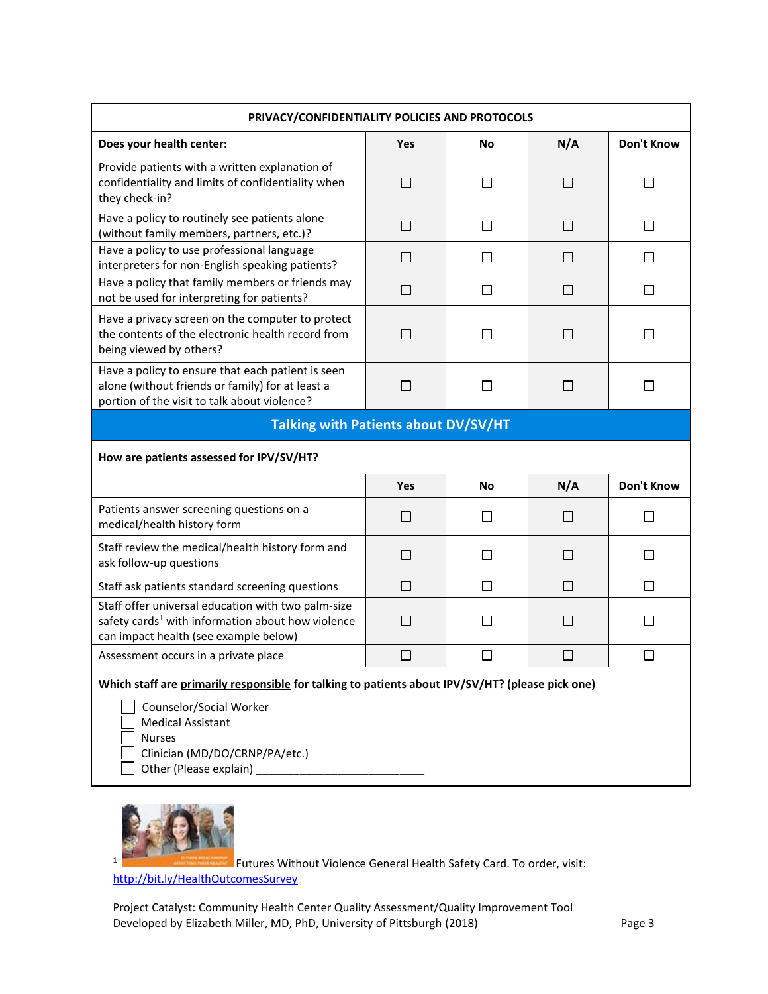| PRIVACY/CONFIDENTIALITY POLICIES AND PROTOCOLS                                                                                                               |              |           |              |              |
|--------------------------------------------------------------------------------------------------------------------------------------------------------------|--------------|-----------|--------------|--------------|
| Does your health center:                                                                                                                                     | Yes          | Νo        | N/A          | Don't Know   |
| Provide patients with a written explanation of<br>confidentiality and limits of confidentiality when<br>they check-in?                                       | $\Box$       | $\Box$    | $\Box$       | $\Box$       |
| Have a policy to routinely see patients alone<br>(without family members, partners, etc.)?                                                                   | П            | П         | П            | П            |
| Have a policy to use professional language<br>interpreters for non-English speaking patients?                                                                | П            | П         | П            | П            |
| Have a policy that family members or friends may<br>not be used for interpreting for patients?                                                               | $\Box$       | □         | $\Box$       | □            |
| Have a privacy screen on the computer to protect<br>the contents of the electronic health record from<br>being viewed by others?                             | $\mathsf{L}$ | ΙI        | $\mathsf{L}$ | $\mathsf{L}$ |
| Have a policy to ensure that each patient is seen<br>alone (without friends or family) for at least a<br>portion of the visit to talk about violence?        | □            | П         | $\Box$       | □            |
| <b>Talking with Patients about DV/SV/HT</b>                                                                                                                  |              |           |              |              |
| How are patients assessed for IPV/SV/HT?                                                                                                                     |              |           |              |              |
|                                                                                                                                                              | Yes          | <b>No</b> | N/A          | Don't Know   |
| Patients answer screening questions on a<br>medical/health history form                                                                                      | $\Box$       | П         | П            | П            |
| Staff review the medical/health history form and<br>ask follow-up questions                                                                                  | П            | П         | П            | П            |
|                                                                                                                                                              |              |           |              |              |
| Staff ask patients standard screening questions                                                                                                              | П            | П         | П            | □            |
| Staff offer universal education with two palm-size<br>safety cards <sup>1</sup> with information about how violence<br>can impact health (see example below) | П            | U         | $\Box$       | $\Box$       |
| Assessment occurs in a private place                                                                                                                         | П            | П         | $\Box$       | П            |

Clinician (MD/DO/CRNP/PA/etc.)

 $\Box$  Other (Please explain)  $\_\_\_\_\_\_\_\_\_\_\_\$ 



 $\overline{a}$ 

Futures Without Violence General Health Safety Card. To order, visit:

<http://bit.ly/HealthOutcomesSurvey>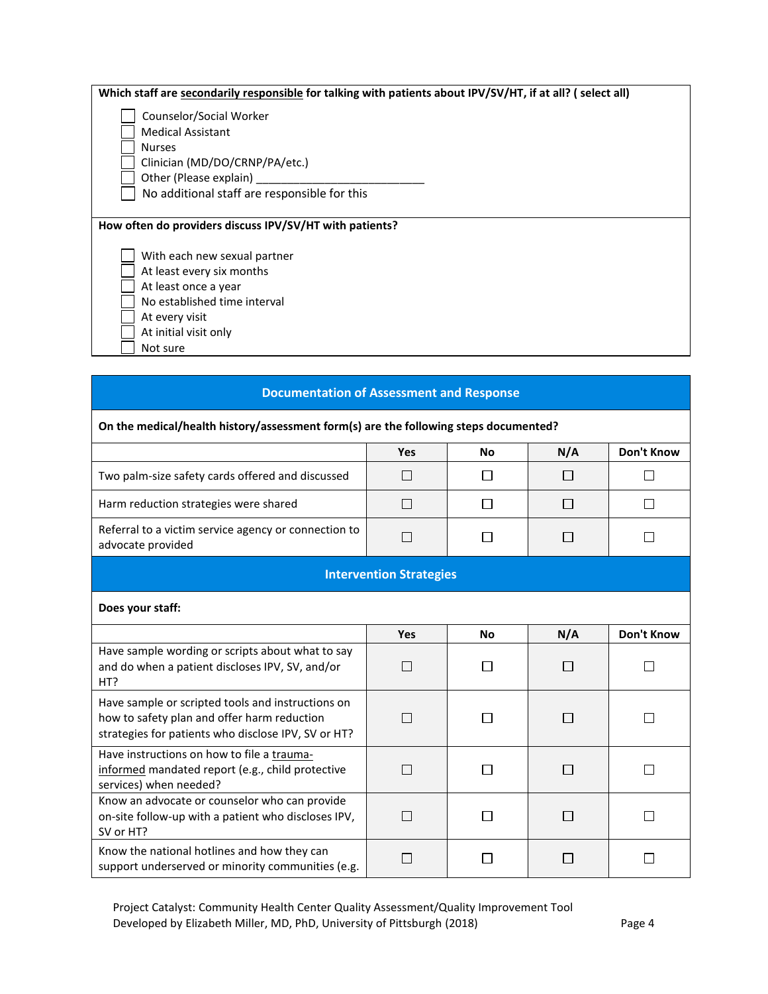| Which staff are secondarily responsible for talking with patients about IPV/SV/HT, if at all? (select all) |
|------------------------------------------------------------------------------------------------------------|
| Counselor/Social Worker                                                                                    |
| <b>Medical Assistant</b>                                                                                   |
| <b>Nurses</b>                                                                                              |
| Clinician (MD/DO/CRNP/PA/etc.)                                                                             |
| Other (Please explain)                                                                                     |
| No additional staff are responsible for this                                                               |
|                                                                                                            |
| How often do providers discuss IPV/SV/HT with patients?                                                    |
|                                                                                                            |
| With each new sexual partner                                                                               |
| At least every six months                                                                                  |
| At least once a year                                                                                       |
| No established time interval                                                                               |
| At every visit                                                                                             |
| At initial visit only                                                                                      |
| Not sure                                                                                                   |
|                                                                                                            |

### **Documentation of Assessment and Response**

#### **On the medical/health history/assessment form(s) are the following steps documented?**

|                                                                           | <b>Yes</b> | No. | N/A | Don't Know |
|---------------------------------------------------------------------------|------------|-----|-----|------------|
| Two palm-size safety cards offered and discussed                          |            |     |     |            |
| Harm reduction strategies were shared                                     |            |     |     |            |
| Referral to a victim service agency or connection to<br>advocate provided |            |     |     |            |

#### **Intervention Strategies**

#### **Does your staff:**

|                                                                                                                                                         | Yes | <b>No</b> | N/A | Don't Know |
|---------------------------------------------------------------------------------------------------------------------------------------------------------|-----|-----------|-----|------------|
| Have sample wording or scripts about what to say<br>and do when a patient discloses IPV, SV, and/or<br>HT?                                              |     |           |     |            |
| Have sample or scripted tools and instructions on<br>how to safety plan and offer harm reduction<br>strategies for patients who disclose IPV, SV or HT? |     |           |     |            |
| Have instructions on how to file a trauma-<br>informed mandated report (e.g., child protective<br>services) when needed?                                |     |           |     |            |
| Know an advocate or counselor who can provide<br>on-site follow-up with a patient who discloses IPV,<br>SV or HT?                                       |     |           |     |            |
| Know the national hotlines and how they can<br>support underserved or minority communities (e.g.                                                        |     |           |     |            |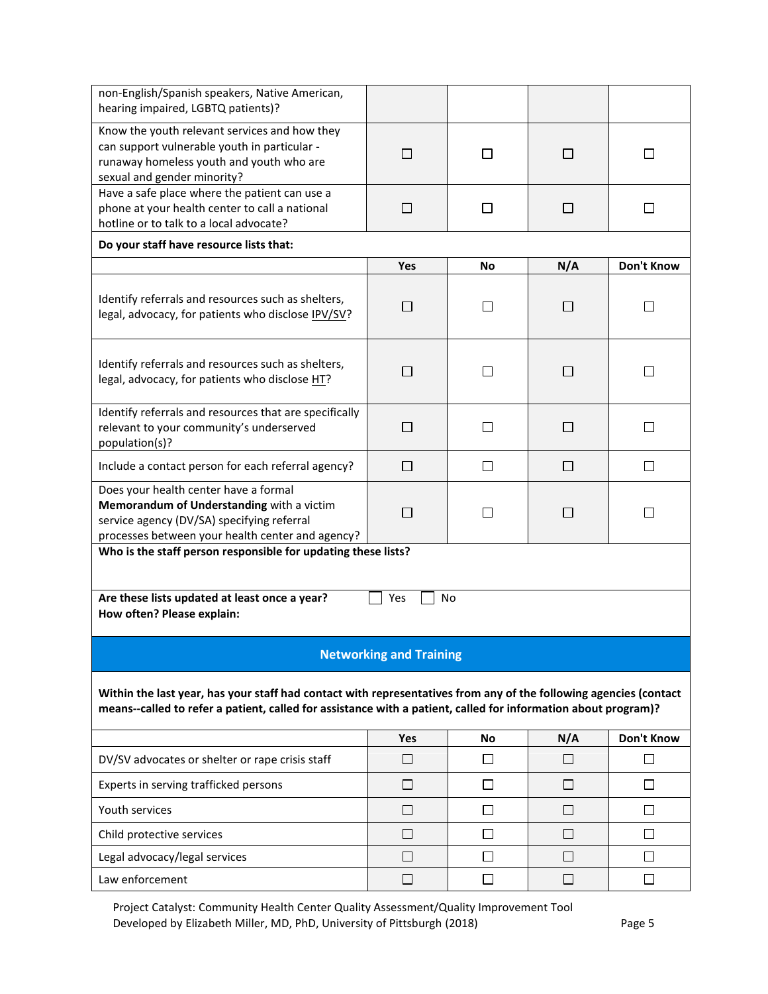| non-English/Spanish speakers, Native American,<br>hearing impaired, LGBTQ patients)?                                                                                                                                                |                                |                |         |                   |  |  |
|-------------------------------------------------------------------------------------------------------------------------------------------------------------------------------------------------------------------------------------|--------------------------------|----------------|---------|-------------------|--|--|
| Know the youth relevant services and how they<br>can support vulnerable youth in particular -<br>runaway homeless youth and youth who are<br>sexual and gender minority?                                                            | П                              | П              | $\perp$ | ΙI                |  |  |
| Have a safe place where the patient can use a<br>phone at your health center to call a national<br>hotline or to talk to a local advocate?                                                                                          | $\Box$                         | П              | П       | $\Box$            |  |  |
| Do your staff have resource lists that:                                                                                                                                                                                             |                                |                |         |                   |  |  |
|                                                                                                                                                                                                                                     | Yes                            | <b>No</b>      | N/A     | <b>Don't Know</b> |  |  |
| Identify referrals and resources such as shelters,<br>legal, advocacy, for patients who disclose IPV/SV?                                                                                                                            | $\Box$                         |                |         | $\mathsf{L}$      |  |  |
| Identify referrals and resources such as shelters,<br>legal, advocacy, for patients who disclose HT?                                                                                                                                | $\Box$                         | П              | $\Box$  | П                 |  |  |
| Identify referrals and resources that are specifically<br>relevant to your community's underserved<br>population(s)?                                                                                                                | П                              | П              | П       | П                 |  |  |
| Include a contact person for each referral agency?                                                                                                                                                                                  | □                              | $\Box$         | $\Box$  | $\Box$            |  |  |
| Does your health center have a formal<br>Memorandum of Understanding with a victim<br>service agency (DV/SA) specifying referral<br>processes between your health center and agency?                                                | П                              | П              | $\Box$  | П                 |  |  |
| Who is the staff person responsible for updating these lists?<br>Are these lists updated at least once a year?<br><b>No</b><br>Yes<br>How often? Please explain:                                                                    |                                |                |         |                   |  |  |
|                                                                                                                                                                                                                                     | <b>Networking and Training</b> |                |         |                   |  |  |
| Within the last year, has your staff had contact with representatives from any of the following agencies (contact<br>means--called to refer a patient, called for assistance with a patient, called for information about program)? |                                |                |         |                   |  |  |
|                                                                                                                                                                                                                                     | Yes                            | No             | N/A     | Don't Know        |  |  |
| DV/SV advocates or shelter or rape crisis staff                                                                                                                                                                                     | $\Box$                         | $\blacksquare$ | $\perp$ | $\mathsf{L}$      |  |  |
| Experts in serving trafficked persons                                                                                                                                                                                               | □                              | $\Box$         | П       | П                 |  |  |
| Youth services                                                                                                                                                                                                                      | $\Box$                         | $\Box$         | □       | □                 |  |  |
| Child protective services                                                                                                                                                                                                           | □                              | $\Box$         | $\Box$  | $\Box$            |  |  |
| Legal advocacy/legal services                                                                                                                                                                                                       | П                              | $\Box$         | $\Box$  | П                 |  |  |
| Law enforcement                                                                                                                                                                                                                     | П                              | П              | $\Box$  | П                 |  |  |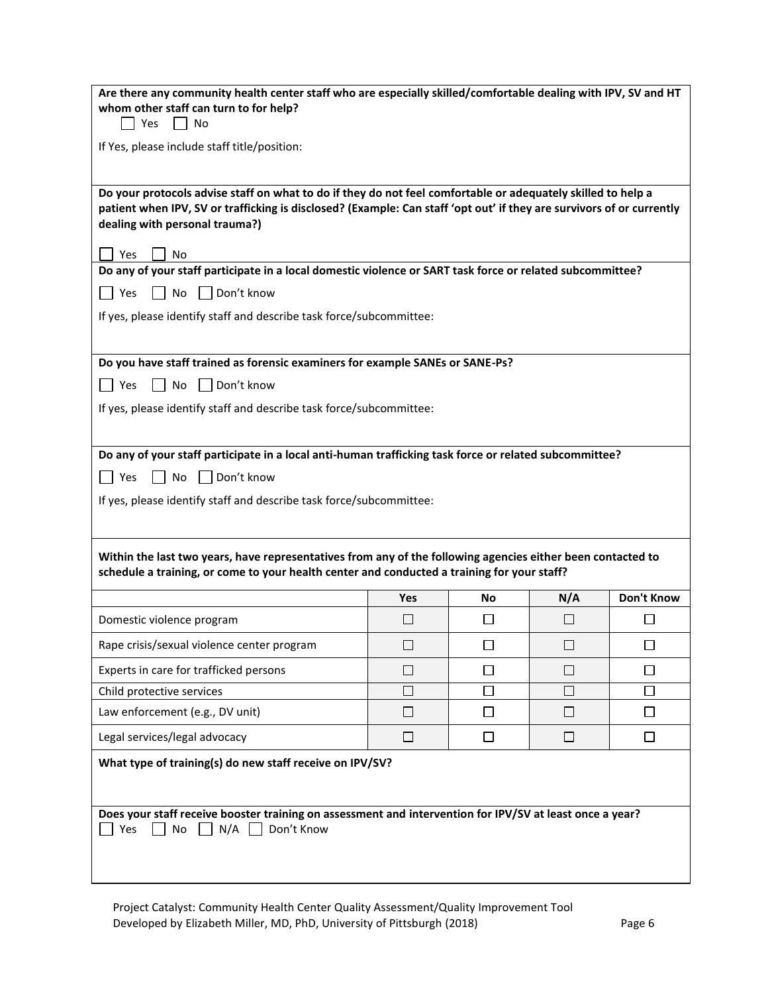| Are there any community health center staff who are especially skilled/comfortable dealing with IPV, SV and HT<br>whom other staff can turn to for help?<br>Yes<br>No                                                                                                                                                                                                                                                         |            |    |        |            |  |
|-------------------------------------------------------------------------------------------------------------------------------------------------------------------------------------------------------------------------------------------------------------------------------------------------------------------------------------------------------------------------------------------------------------------------------|------------|----|--------|------------|--|
| If Yes, please include staff title/position:                                                                                                                                                                                                                                                                                                                                                                                  |            |    |        |            |  |
| Do your protocols advise staff on what to do if they do not feel comfortable or adequately skilled to help a<br>patient when IPV, SV or trafficking is disclosed? (Example: Can staff 'opt out' if they are survivors of or currently<br>dealing with personal trauma?)<br>Yes<br><b>No</b><br>Do any of your staff participate in a local domestic violence or SART task force or related subcommittee?<br>$\Box$ Don't know |            |    |        |            |  |
| $\overline{\phantom{a}}$ No<br>l Yes<br>If yes, please identify staff and describe task force/subcommittee:                                                                                                                                                                                                                                                                                                                   |            |    |        |            |  |
| Do you have staff trained as forensic examiners for example SANEs or SANE-Ps?<br>Don't know<br>  Yes<br>No<br>If yes, please identify staff and describe task force/subcommittee:                                                                                                                                                                                                                                             |            |    |        |            |  |
| Do any of your staff participate in a local anti-human trafficking task force or related subcommittee?<br>Don't know<br>No<br>Yes<br>If yes, please identify staff and describe task force/subcommittee:<br>Within the last two years, have representatives from any of the following agencies either been contacted to<br>schedule a training, or come to your health center and conducted a training for your staff?        |            |    |        |            |  |
|                                                                                                                                                                                                                                                                                                                                                                                                                               | Yes        | No | N/A    | Don't Know |  |
| Domestic violence program                                                                                                                                                                                                                                                                                                                                                                                                     | <b>COL</b> | H  | $\Box$ | ΙI         |  |
| Rape crisis/sexual violence center program                                                                                                                                                                                                                                                                                                                                                                                    | □          | □  | $\Box$ | $\Box$     |  |
| Experts in care for trafficked persons                                                                                                                                                                                                                                                                                                                                                                                        | П          | □  | □      | ⊓          |  |
| Child protective services                                                                                                                                                                                                                                                                                                                                                                                                     | $\Box$     | П  | П      | П          |  |
| Law enforcement (e.g., DV unit)                                                                                                                                                                                                                                                                                                                                                                                               | П          | □  | □      | □          |  |
| Legal services/legal advocacy                                                                                                                                                                                                                                                                                                                                                                                                 | □          | □  | □      | □          |  |
| What type of training(s) do new staff receive on IPV/SV?                                                                                                                                                                                                                                                                                                                                                                      |            |    |        |            |  |
| Does your staff receive booster training on assessment and intervention for IPV/SV at least once a year?<br>Yes<br>N/A<br>Don't Know<br><b>No</b>                                                                                                                                                                                                                                                                             |            |    |        |            |  |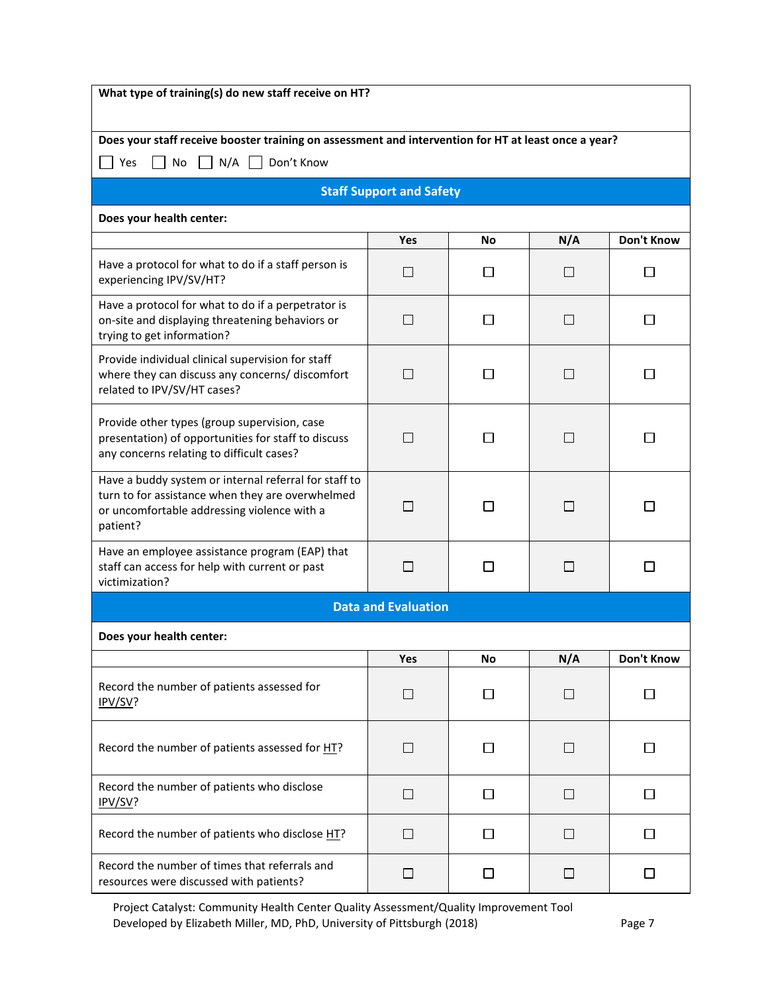| What type of training(s) do new staff receive on HT?                                                                                                                 |                            |              |              |                   |
|----------------------------------------------------------------------------------------------------------------------------------------------------------------------|----------------------------|--------------|--------------|-------------------|
| Does your staff receive booster training on assessment and intervention for HT at least once a year?<br>N/A<br>Don't Know<br>Yes<br>No                               |                            |              |              |                   |
| <b>Staff Support and Safety</b>                                                                                                                                      |                            |              |              |                   |
| Does your health center:                                                                                                                                             |                            |              |              |                   |
|                                                                                                                                                                      | Yes                        | No           | N/A          | Don't Know        |
| Have a protocol for what to do if a staff person is<br>experiencing IPV/SV/HT?                                                                                       | П                          | П            | П            | П                 |
| Have a protocol for what to do if a perpetrator is<br>on-site and displaying threatening behaviors or<br>trying to get information?                                  | $\mathsf{L}$               | $\mathsf{L}$ | $\mathsf{L}$ | ΙI                |
| Provide individual clinical supervision for staff<br>where they can discuss any concerns/ discomfort<br>related to IPV/SV/HT cases?                                  | I.                         | ΙI           | $\Box$       | ΙI                |
| Provide other types (group supervision, case<br>presentation) of opportunities for staff to discuss<br>any concerns relating to difficult cases?                     | П                          | П            | П            | П                 |
| Have a buddy system or internal referral for staff to<br>turn to for assistance when they are overwhelmed<br>or uncomfortable addressing violence with a<br>patient? |                            |              |              |                   |
| Have an employee assistance program (EAP) that<br>staff can access for help with current or past<br>victimization?                                                   | $\blacksquare$             |              | ΙI           |                   |
|                                                                                                                                                                      | <b>Data and Evaluation</b> |              |              |                   |
| Does your health center:                                                                                                                                             |                            |              |              |                   |
|                                                                                                                                                                      | Yes                        | No           | N/A          | <b>Don't Know</b> |
| Record the number of patients assessed for<br>IPV/SV?                                                                                                                | П                          | П            | П            | П                 |
| Record the number of patients assessed for HT?                                                                                                                       | $\mathbf{1}$               | ΙI           | П            | ΙI                |
| Record the number of patients who disclose<br>IPV/SV?                                                                                                                | □                          | $\perp$      | $\Box$       | $\perp$           |
| Record the number of patients who disclose HT?                                                                                                                       | $\Box$                     | $\perp$      | □            | П                 |
| Record the number of times that referrals and<br>resources were discussed with patients?                                                                             | $\Box$                     | $\perp$      | $\Box$       | $\Box$            |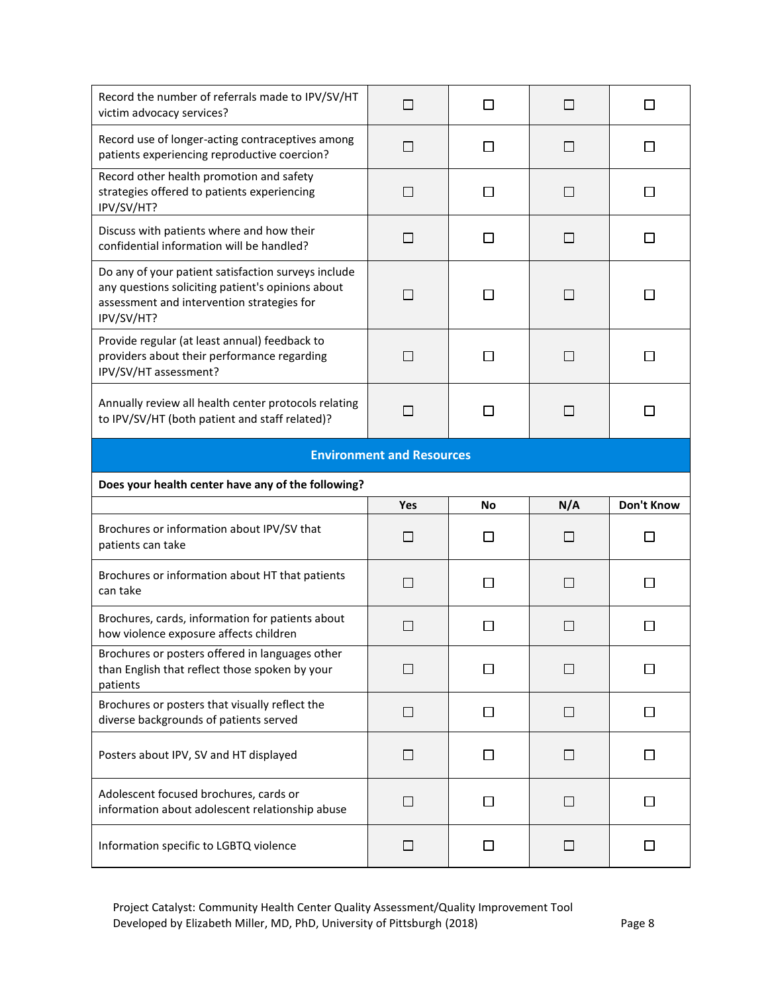| Record the number of referrals made to IPV/SV/HT<br>victim advocacy services?                                                                                        | $\Box$         |              | $\Box$ |                   |  |  |
|----------------------------------------------------------------------------------------------------------------------------------------------------------------------|----------------|--------------|--------|-------------------|--|--|
| Record use of longer-acting contraceptives among<br>patients experiencing reproductive coercion?                                                                     | $\Box$         | ΙI           | ΙI     | ΙI                |  |  |
| Record other health promotion and safety<br>strategies offered to patients experiencing<br>IPV/SV/HT?                                                                | □              | ΙI           | $\Box$ |                   |  |  |
| Discuss with patients where and how their<br>confidential information will be handled?                                                                               | $\Box$         | П            | П      | $\mathsf{L}$      |  |  |
| Do any of your patient satisfaction surveys include<br>any questions soliciting patient's opinions about<br>assessment and intervention strategies for<br>IPV/SV/HT? | П              | ΙI           | ΙI     | ΙI                |  |  |
| Provide regular (at least annual) feedback to<br>providers about their performance regarding<br>IPV/SV/HT assessment?                                                | $\mathbf{1}$   | ΙI           | ΙI     | $\mathsf{L}$      |  |  |
| Annually review all health center protocols relating<br>to IPV/SV/HT (both patient and staff related)?                                                               | П              | ΙI           | ΙI     |                   |  |  |
| <b>Environment and Resources</b>                                                                                                                                     |                |              |        |                   |  |  |
| Does your health center have any of the following?                                                                                                                   |                |              |        |                   |  |  |
|                                                                                                                                                                      |                |              |        |                   |  |  |
|                                                                                                                                                                      | Yes            | No           | N/A    | <b>Don't Know</b> |  |  |
| Brochures or information about IPV/SV that<br>patients can take                                                                                                      | $\Box$         | ΙI           | $\Box$ | $\mathsf{L}$      |  |  |
| Brochures or information about HT that patients<br>can take                                                                                                          | П              | $\mathsf{L}$ | П      |                   |  |  |
| Brochures, cards, information for patients about<br>how violence exposure affects children                                                                           |                |              |        |                   |  |  |
| Brochures or posters offered in languages other<br>than English that reflect those spoken by your<br>patients                                                        | $\blacksquare$ |              |        |                   |  |  |
| Brochures or posters that visually reflect the<br>diverse backgrounds of patients served                                                                             | $\Box$         | $\Box$       | $\Box$ | $\perp$           |  |  |
| Posters about IPV, SV and HT displayed                                                                                                                               | □              | $\Box$       | $\Box$ | $\Box$            |  |  |
| Adolescent focused brochures, cards or<br>information about adolescent relationship abuse                                                                            | □              | ப            | $\Box$ | $\mathbf{I}$      |  |  |